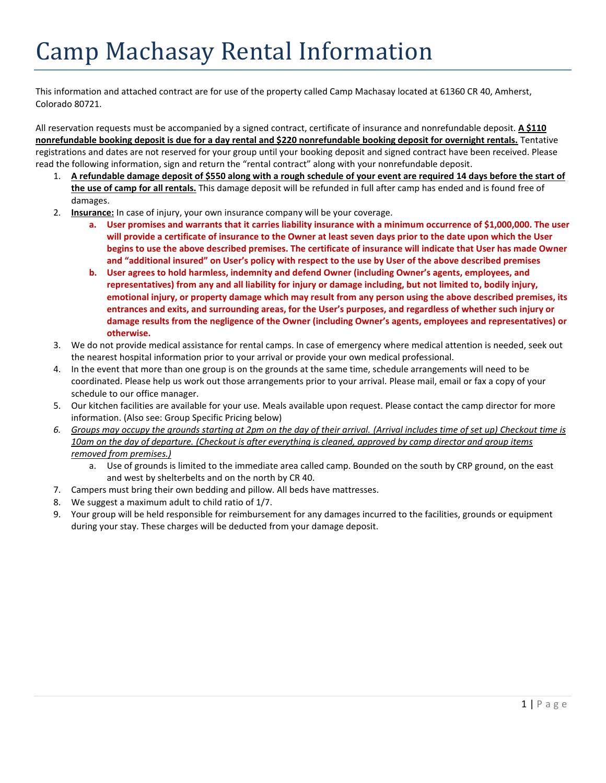# Camp Machasay Rental Information

This information and attached contract are for use of the property called Camp Machasay located at 61360 CR 40, Amherst, Colorado 80721.

All reservation requests must be accompanied by a signed contract, certificate of insurance and nonrefundable deposit. **A \$110 nonrefundable booking deposit is due for a day rental and \$220 nonrefundable booking deposit for overnight rentals.** Tentative registrations and dates are not reserved for your group until your booking deposit and signed contract have been received. Please read the following information, sign and return the "rental contract" along with your nonrefundable deposit.

- 1. **A refundable damage deposit of \$550 along with a rough schedule of your event are required 14 days before the start of the use of camp for all rentals.** This damage deposit will be refunded in full after camp has ended and is found free of damages.
- 2. **Insurance:** In case of injury, your own insurance company will be your coverage.
	- **a. User promises and warrants that it carries liability insurance with a minimum occurrence of \$1,000,000. The user will provide a certificate of insurance to the Owner at least seven days prior to the date upon which the User begins to use the above described premises. The certificate of insurance will indicate that User has made Owner and "additional insured" on User's policy with respect to the use by User of the above described premises**
	- **b. User agrees to hold harmless, indemnity and defend Owner (including Owner's agents, employees, and representatives) from any and all liability for injury or damage including, but not limited to, bodily injury, emotional injury, or property damage which may result from any person using the above described premises, its entrances and exits, and surrounding areas, for the User's purposes, and regardless of whether such injury or damage results from the negligence of the Owner (including Owner's agents, employees and representatives) or otherwise.**
- 3. We do not provide medical assistance for rental camps. In case of emergency where medical attention is needed, seek out the nearest hospital information prior to your arrival or provide your own medical professional.
- 4. In the event that more than one group is on the grounds at the same time, schedule arrangements will need to be coordinated. Please help us work out those arrangements prior to your arrival. Please mail, email or fax a copy of your schedule to our office manager.
- 5. Our kitchen facilities are available for your use. Meals available upon request. Please contact the camp director for more information. (Also see: Group Specific Pricing below)
- *6. Groups may occupy the grounds starting at 2pm on the day of their arrival. (Arrival includes time of set up) Checkout time is 10am on the day of departure. (Checkout is after everything is cleaned, approved by camp director and group items removed from premises.)*
	- a. Use of grounds is limited to the immediate area called camp. Bounded on the south by CRP ground, on the east and west by shelterbelts and on the north by CR 40.
- 7. Campers must bring their own bedding and pillow. All beds have mattresses.
- 8. We suggest a maximum adult to child ratio of 1/7.
- 9. Your group will be held responsible for reimbursement for any damages incurred to the facilities, grounds or equipment during your stay. These charges will be deducted from your damage deposit.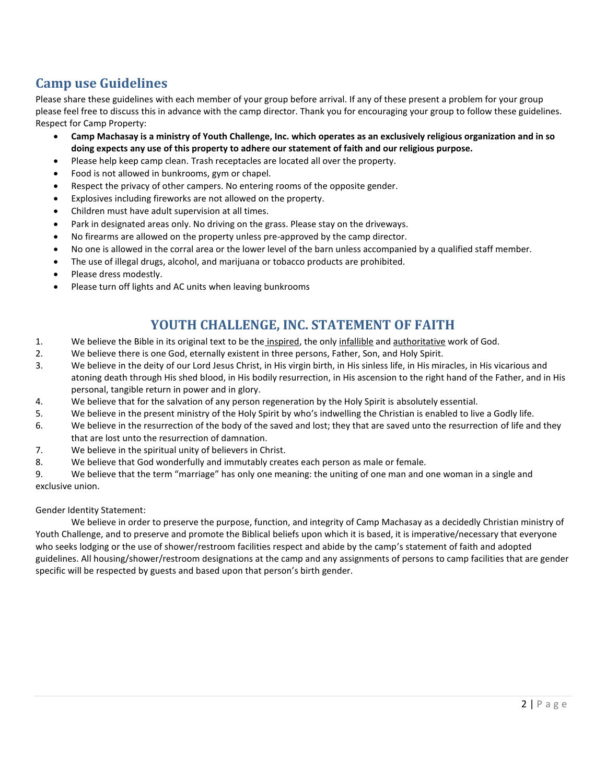### **Camp use Guidelines**

Please share these guidelines with each member of your group before arrival. If any of these present a problem for your group please feel free to discuss this in advance with the camp director. Thank you for encouraging your group to follow these guidelines. Respect for Camp Property:

- **Camp Machasay is a ministry of Youth Challenge, Inc. which operates as an exclusively religious organization and in so doing expects any use of this property to adhere our statement of faith and our religious purpose.**
- Please help keep camp clean. Trash receptacles are located all over the property.
- Food is not allowed in bunkrooms, gym or chapel.
- Respect the privacy of other campers. No entering rooms of the opposite gender.
- Explosives including fireworks are not allowed on the property.
- Children must have adult supervision at all times.
- Park in designated areas only. No driving on the grass. Please stay on the driveways.
- No firearms are allowed on the property unless pre-approved by the camp director.
- No one is allowed in the corral area or the lower level of the barn unless accompanied by a qualified staff member.
- The use of illegal drugs, alcohol, and marijuana or tobacco products are prohibited.
- Please dress modestly.
- Please turn off lights and AC units when leaving bunkrooms

#### **YOUTH CHALLENGE, INC. STATEMENT OF FAITH**

- 1. We believe the Bible in its original text to be the inspired, the only infallible and authoritative work of God.
- 2. We believe there is one God, eternally existent in three persons, Father, Son, and Holy Spirit.
- 3. We believe in the deity of our Lord Jesus Christ, in His virgin birth, in His sinless life, in His miracles, in His vicarious and atoning death through His shed blood, in His bodily resurrection, in His ascension to the right hand of the Father, and in His personal, tangible return in power and in glory.
- 4. We believe that for the salvation of any person regeneration by the Holy Spirit is absolutely essential.
- 5. We believe in the present ministry of the Holy Spirit by who's indwelling the Christian is enabled to live a Godly life.
- 6. We believe in the resurrection of the body of the saved and lost; they that are saved unto the resurrection of life and they that are lost unto the resurrection of damnation.
- 7. We believe in the spiritual unity of believers in Christ.
- 8. We believe that God wonderfully and immutably creates each person as male or female.

9. We believe that the term "marriage" has only one meaning: the uniting of one man and one woman in a single and exclusive union.

Gender Identity Statement:

We believe in order to preserve the purpose, function, and integrity of Camp Machasay as a decidedly Christian ministry of Youth Challenge, and to preserve and promote the Biblical beliefs upon which it is based, it is imperative/necessary that everyone who seeks lodging or the use of shower/restroom facilities respect and abide by the camp's statement of faith and adopted guidelines. All housing/shower/restroom designations at the camp and any assignments of persons to camp facilities that are gender specific will be respected by guests and based upon that person's birth gender.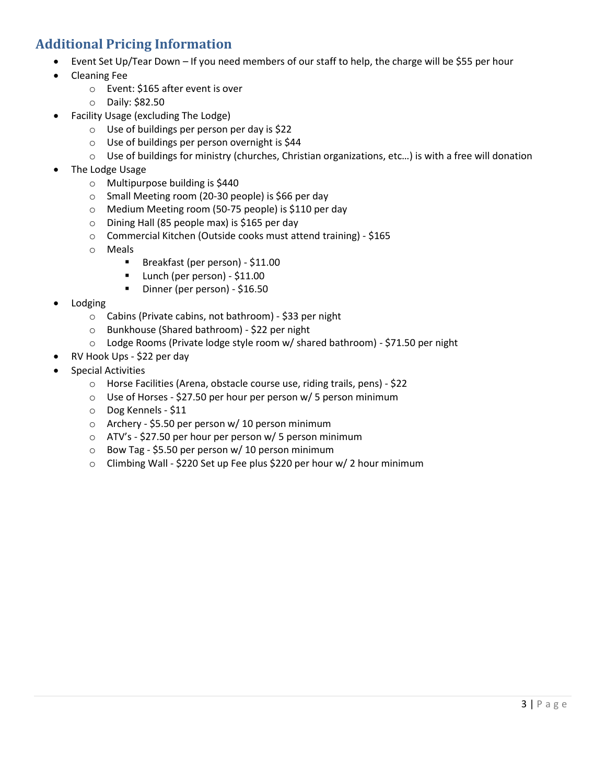#### **Additional Pricing Information**

- Event Set Up/Tear Down If you need members of our staff to help, the charge will be \$55 per hour
- Cleaning Fee
	- o Event: \$165 after event is over
	- o Daily: \$82.50
- Facility Usage (excluding The Lodge)
	- o Use of buildings per person per day is \$22
	- o Use of buildings per person overnight is \$44
	- $\circ$  Use of buildings for ministry (churches, Christian organizations, etc...) is with a free will donation
- The Lodge Usage
	- o Multipurpose building is \$440
	- o Small Meeting room (20-30 people) is \$66 per day
	- o Medium Meeting room (50-75 people) is \$110 per day
	- o Dining Hall (85 people max) is \$165 per day
	- o Commercial Kitchen (Outside cooks must attend training) \$165
	- o Meals
		- Breakfast (per person) \$11.00
		- Lunch (per person) \$11.00
		- Dinner (per person) \$16.50
- Lodging
	- o Cabins (Private cabins, not bathroom) \$33 per night
	- o Bunkhouse (Shared bathroom) \$22 per night
	- o Lodge Rooms (Private lodge style room w/ shared bathroom) \$71.50 per night
	- RV Hook Ups \$22 per day
- Special Activities
	- o Horse Facilities (Arena, obstacle course use, riding trails, pens) \$22
	- o Use of Horses \$27.50 per hour per person w/ 5 person minimum
	- o Dog Kennels \$11
	- o Archery \$5.50 per person w/ 10 person minimum
	- o ATV's \$27.50 per hour per person w/ 5 person minimum
	- $\circ$  Bow Tag \$5.50 per person w/ 10 person minimum
	- o Climbing Wall \$220 Set up Fee plus \$220 per hour w/ 2 hour minimum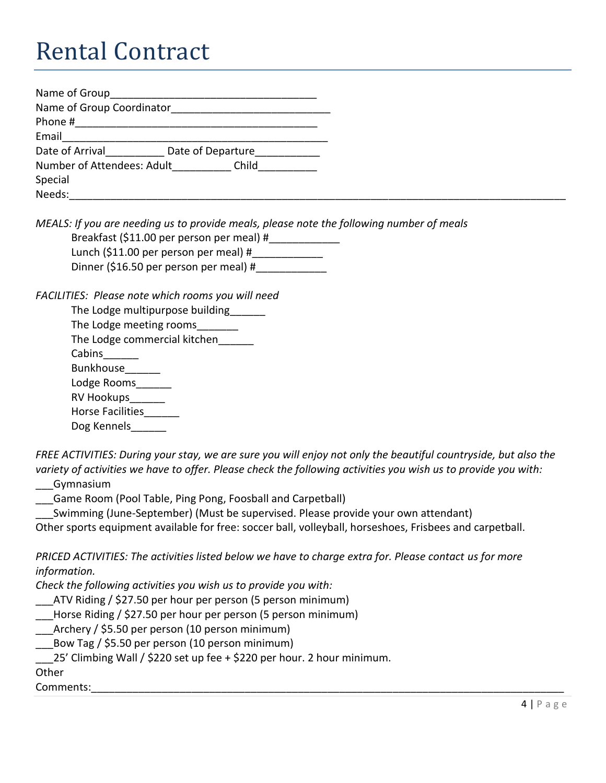## Rental Contract

| Name of Group              |                                   |       |
|----------------------------|-----------------------------------|-------|
| Name of Group Coordinator  |                                   |       |
| Phone #                    |                                   |       |
| Email                      |                                   |       |
|                            | Date of Arrival Date of Departure |       |
| Number of Attendees: Adult |                                   | Child |
| Special                    |                                   |       |
| Needs:                     |                                   |       |

*MEALS: If you are needing us to provide meals, please note the following number of meals*

Breakfast (\$11.00 per person per meal) #\_\_\_\_\_\_\_\_\_\_\_\_\_ Lunch (\$11.00 per person per meal)  $#$ Dinner (\$16.50 per person per meal) #\_\_\_\_\_\_\_\_\_\_\_\_

*FACILITIES: Please note which rooms you will need*

| The Lodge multipurpose building |  |  |
|---------------------------------|--|--|
| The Lodge meeting rooms         |  |  |
| The Lodge commercial kitchen    |  |  |
| Cabins                          |  |  |
| <b>Bunkhouse</b>                |  |  |
| Lodge Rooms                     |  |  |
| <b>RV Hookups</b>               |  |  |
| <b>Horse Facilities</b>         |  |  |
| Dog Kennels                     |  |  |
|                                 |  |  |

*FREE ACTIVITIES: During your stay, we are sure you will enjoy not only the beautiful countryside, but also the variety of activities we have to offer. Please check the following activities you wish us to provide you with:*

\_\_\_Gymnasium

\_\_\_Game Room (Pool Table, Ping Pong, Foosball and Carpetball)

Swimming (June-September) (Must be supervised. Please provide your own attendant)

Other sports equipment available for free: soccer ball, volleyball, horseshoes, Frisbees and carpetball.

*PRICED ACTIVITIES: The activities listed below we have to charge extra for. Please contact us for more information.*

*Check the following activities you wish us to provide you with:*

\_\_\_ATV Riding / \$27.50 per hour per person (5 person minimum)

\_\_\_Horse Riding / \$27.50 per hour per person (5 person minimum)

\_\_\_Archery / \$5.50 per person (10 person minimum)

\_\_\_Bow Tag / \$5.50 per person (10 person minimum)

\_\_\_25' Climbing Wall / \$220 set up fee + \$220 per hour. 2 hour minimum.

**Other** 

Comments:\_\_\_\_\_\_\_\_\_\_\_\_\_\_\_\_\_\_\_\_\_\_\_\_\_\_\_\_\_\_\_\_\_\_\_\_\_\_\_\_\_\_\_\_\_\_\_\_\_\_\_\_\_\_\_\_\_\_\_\_\_\_\_\_\_\_\_\_\_\_\_\_\_\_\_\_\_\_\_\_